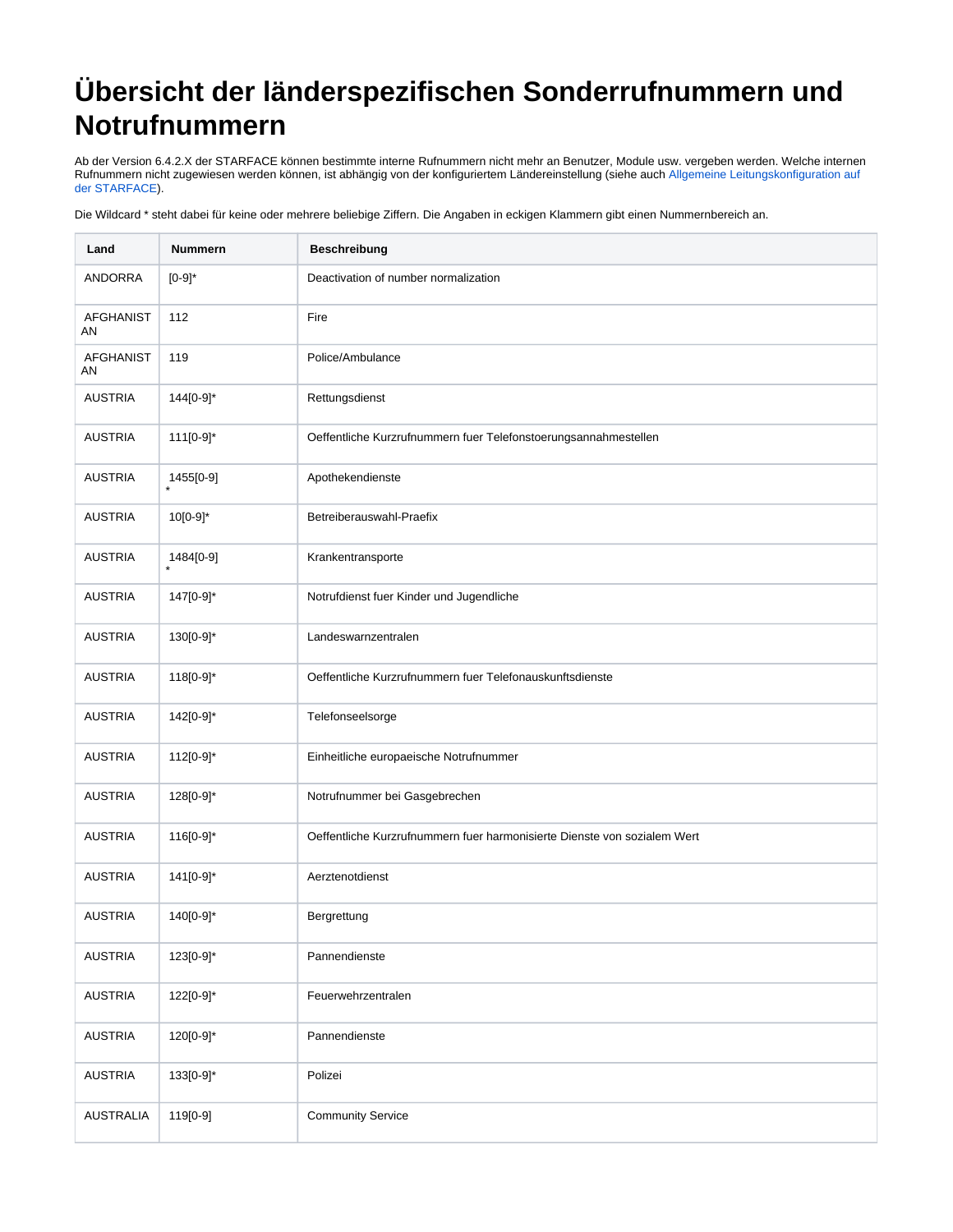## **Übersicht der länderspezifischen Sonderrufnummern und Notrufnummern**

Ab der Version 6.4.2.X der STARFACE können bestimmte interne Rufnummern nicht mehr an Benutzer, Module usw. vergeben werden. Welche internen Rufnummern nicht zugewiesen werden können, ist abhängig von der konfiguriertem Ländereinstellung (siehe auch Allgemeine Leitungskonfiguration auf [der STARFACE\)](https://knowledge.starface.de/display/SWD/Allgemeine+Leitungskonfiguration+auf+der+STARFACE).

Die Wildcard \* steht dabei für keine oder mehrere beliebige Ziffern. Die Angaben in eckigen Klammern gibt einen Nummernbereich an.

| Land                   | <b>Nummern</b>       | <b>Beschreibung</b>                                                      |
|------------------------|----------------------|--------------------------------------------------------------------------|
| ANDORRA                | $[0-9]$ *            | Deactivation of number normalization                                     |
| <b>AFGHANIST</b><br>AN | 112                  | Fire                                                                     |
| <b>AFGHANIST</b><br>AN | 119                  | Police/Ambulance                                                         |
| <b>AUSTRIA</b>         | 144[0-9]*            | Rettungsdienst                                                           |
| <b>AUSTRIA</b>         | 111[0-9]*            | Oeffentliche Kurzrufnummern fuer Telefonstoerungsannahmestellen          |
| <b>AUSTRIA</b>         | 1455[0-9]<br>$\star$ | Apothekendienste                                                         |
| <b>AUSTRIA</b>         | 10[0-9]*             | Betreiberauswahl-Praefix                                                 |
| <b>AUSTRIA</b>         | 1484[0-9]            | Krankentransporte                                                        |
| <b>AUSTRIA</b>         | 147[0-9]*            | Notrufdienst fuer Kinder und Jugendliche                                 |
| <b>AUSTRIA</b>         | 130[0-9]*            | Landeswarnzentralen                                                      |
| <b>AUSTRIA</b>         | 118[0-9]*            | Oeffentliche Kurzrufnummern fuer Telefonauskunftsdienste                 |
| <b>AUSTRIA</b>         | 142[0-9]*            | Telefonseelsorge                                                         |
| <b>AUSTRIA</b>         | 112[0-9]*            | Einheitliche europaeische Notrufnummer                                   |
| <b>AUSTRIA</b>         | 128[0-9]*            | Notrufnummer bei Gasgebrechen                                            |
| <b>AUSTRIA</b>         | 116[0-9]*            | Oeffentliche Kurzrufnummern fuer harmonisierte Dienste von sozialem Wert |
| <b>AUSTRIA</b>         | 141[0-9]*            | Aerztenotdienst                                                          |
| <b>AUSTRIA</b>         | 140[0-9]*            | Bergrettung                                                              |
| <b>AUSTRIA</b>         | 123[0-9]*            | Pannendienste                                                            |
| <b>AUSTRIA</b>         | 122[0-9]*            | Feuerwehrzentralen                                                       |
| <b>AUSTRIA</b>         | 120[0-9]*            | Pannendienste                                                            |
| <b>AUSTRIA</b>         | 133[0-9]*            | Polizei                                                                  |
| <b>AUSTRALIA</b>       | 119[0-9]             | <b>Community Service</b>                                                 |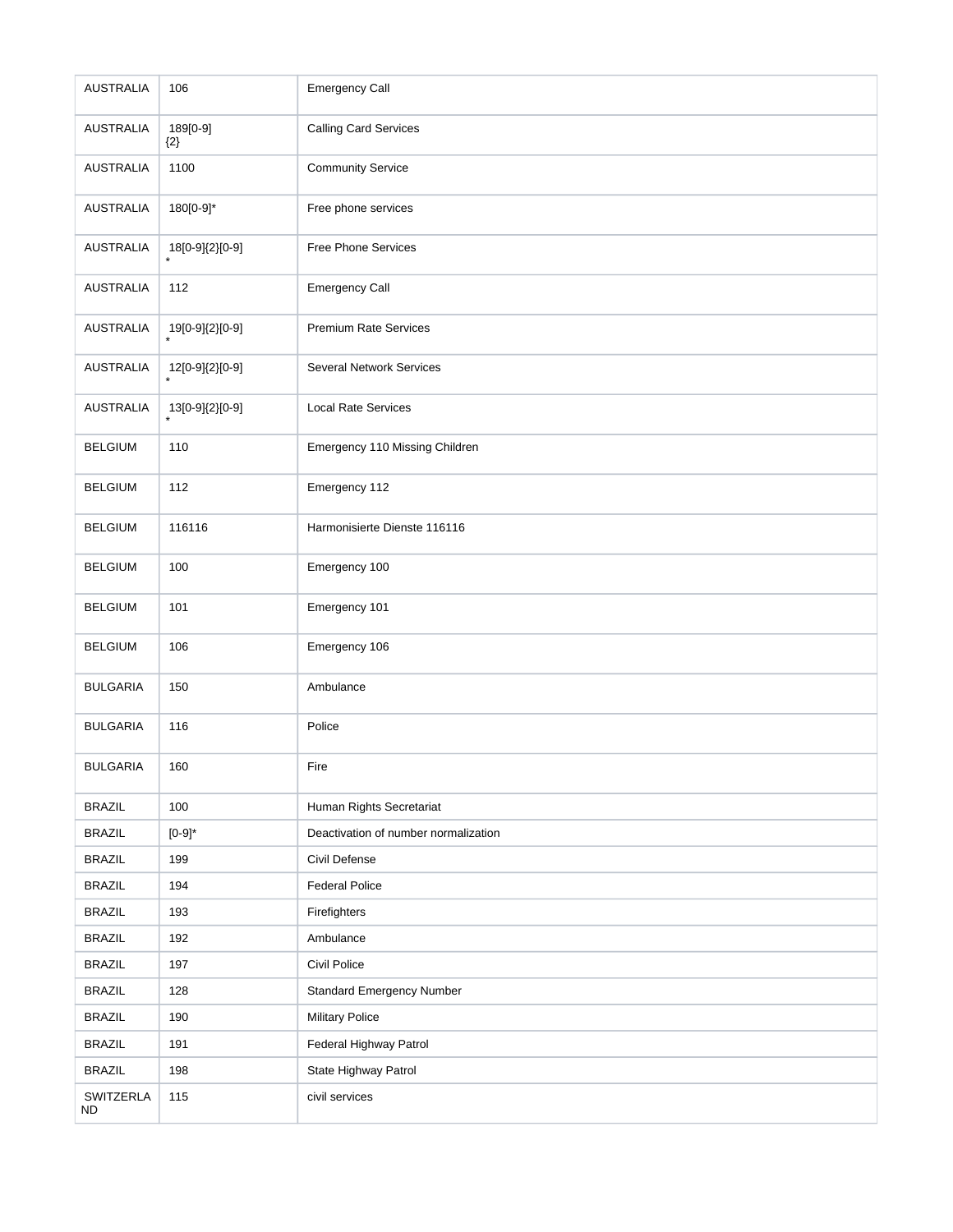| <b>AUSTRALIA</b>       | 106                 | <b>Emergency Call</b>                |
|------------------------|---------------------|--------------------------------------|
| <b>AUSTRALIA</b>       | 189[0-9]<br>$\{2\}$ | <b>Calling Card Services</b>         |
| <b>AUSTRALIA</b>       | 1100                | <b>Community Service</b>             |
| <b>AUSTRALIA</b>       | 180[0-9]*           | Free phone services                  |
| <b>AUSTRALIA</b>       | $18[0-9]\{2\}[0-9]$ | Free Phone Services                  |
| <b>AUSTRALIA</b>       | 112                 | <b>Emergency Call</b>                |
| <b>AUSTRALIA</b>       | 19[0-9]{2}[0-9]     | <b>Premium Rate Services</b>         |
| <b>AUSTRALIA</b>       | 12[0-9]{2}[0-9]     | <b>Several Network Services</b>      |
| <b>AUSTRALIA</b>       | 13[0-9]{2}[0-9]     | <b>Local Rate Services</b>           |
| <b>BELGIUM</b>         | 110                 | Emergency 110 Missing Children       |
| <b>BELGIUM</b>         | 112                 | Emergency 112                        |
| <b>BELGIUM</b>         | 116116              | Harmonisierte Dienste 116116         |
| <b>BELGIUM</b>         | 100                 | Emergency 100                        |
| <b>BELGIUM</b>         | 101                 | Emergency 101                        |
| <b>BELGIUM</b>         | 106                 | Emergency 106                        |
| <b>BULGARIA</b>        | 150                 | Ambulance                            |
| <b>BULGARIA</b>        | 116                 | Police                               |
| <b>BULGARIA</b>        | 160                 | Fire                                 |
| <b>BRAZIL</b>          | 100                 | Human Rights Secretariat             |
| <b>BRAZIL</b>          | $[0-9]$ *           | Deactivation of number normalization |
| <b>BRAZIL</b>          | 199                 | Civil Defense                        |
| <b>BRAZIL</b>          | 194                 | <b>Federal Police</b>                |
| <b>BRAZIL</b>          | 193                 | Firefighters                         |
| <b>BRAZIL</b>          | 192                 | Ambulance                            |
| <b>BRAZIL</b>          | 197                 | Civil Police                         |
| <b>BRAZIL</b>          | 128                 | <b>Standard Emergency Number</b>     |
| <b>BRAZIL</b>          | 190                 | <b>Military Police</b>               |
| <b>BRAZIL</b>          | 191                 | Federal Highway Patrol               |
| <b>BRAZIL</b>          | 198                 | State Highway Patrol                 |
| SWITZERLA<br><b>ND</b> | 115                 | civil services                       |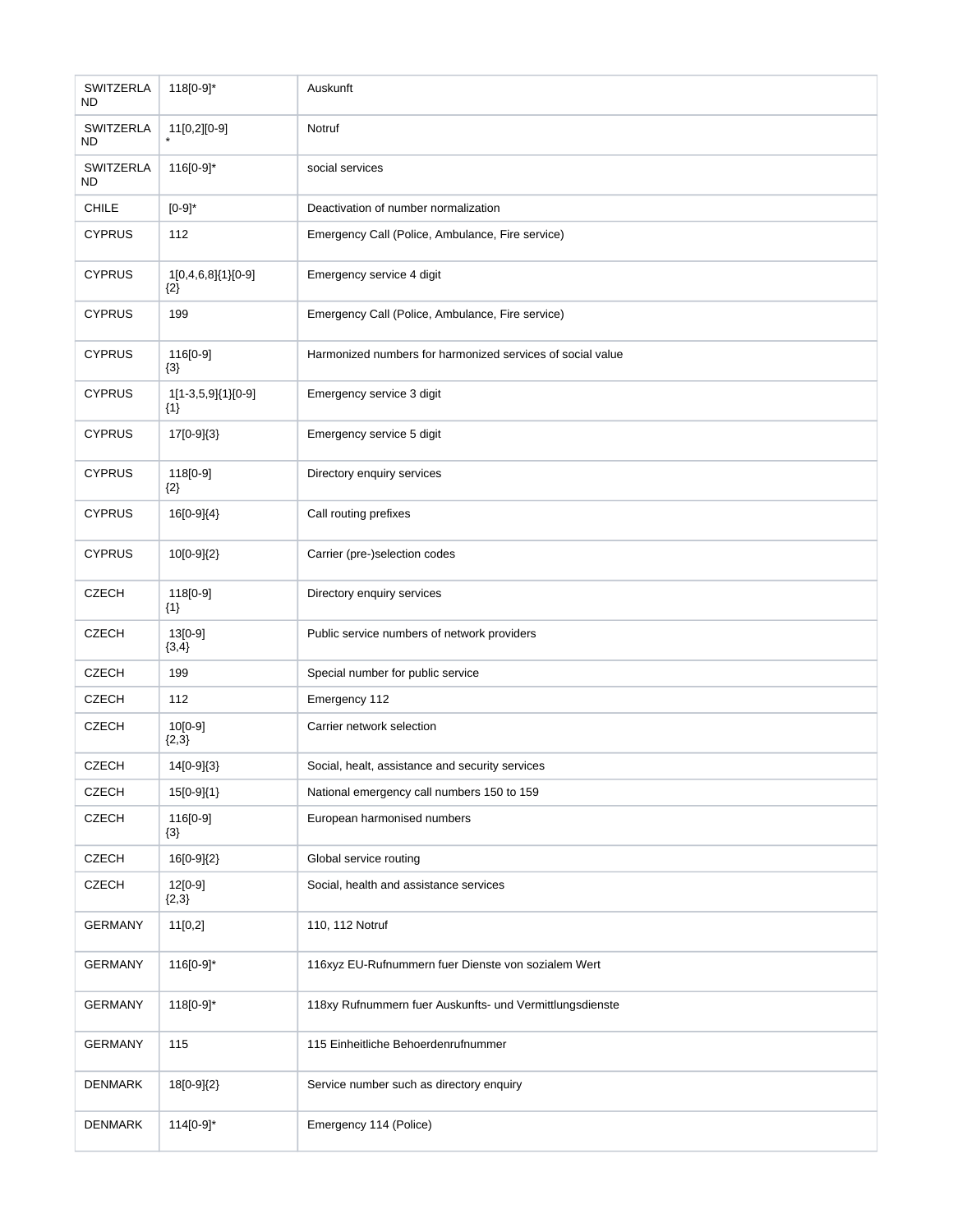| SWITZERLA<br>ND  | 118[0-9]*                   | Auskunft                                                   |
|------------------|-----------------------------|------------------------------------------------------------|
| SWITZERLA<br>ND  | 11[0,2][0-9]                | Notruf                                                     |
| SWITZERLA<br>ND. | 116[0-9]*                   | social services                                            |
| <b>CHILE</b>     | $[0-9]$ *                   | Deactivation of number normalization                       |
| <b>CYPRUS</b>    | 112                         | Emergency Call (Police, Ambulance, Fire service)           |
| <b>CYPRUS</b>    | 1[0,4,6,8]{1}[0-9]<br>${2}$ | Emergency service 4 digit                                  |
| <b>CYPRUS</b>    | 199                         | Emergency Call (Police, Ambulance, Fire service)           |
| <b>CYPRUS</b>    | 116[0-9]<br>${3}$           | Harmonized numbers for harmonized services of social value |
| <b>CYPRUS</b>    | 1[1-3,5,9]{1}[0-9]<br>${1}$ | Emergency service 3 digit                                  |
| <b>CYPRUS</b>    | 17[0-9]{3}                  | Emergency service 5 digit                                  |
| <b>CYPRUS</b>    | 118[0-9]<br>${2}$           | Directory enquiry services                                 |
| <b>CYPRUS</b>    | 16[0-9]{4}                  | Call routing prefixes                                      |
| <b>CYPRUS</b>    | 10[0-9]{2}                  | Carrier (pre-)selection codes                              |
| <b>CZECH</b>     | 118[0-9]<br>${1}$           | Directory enquiry services                                 |
| <b>CZECH</b>     | 13[0-9]<br>${3,4}$          | Public service numbers of network providers                |
| <b>CZECH</b>     | 199                         | Special number for public service                          |
| <b>CZECH</b>     | 112                         | Emergency 112                                              |
| <b>CZECH</b>     | 10[0-9]<br>${2,3}$          | Carrier network selection                                  |
| <b>CZECH</b>     | 14[0-9]{3}                  | Social, healt, assistance and security services            |
| <b>CZECH</b>     | 15[0-9]{1}                  | National emergency call numbers 150 to 159                 |
| <b>CZECH</b>     | 116[0-9]<br>$\{3\}$         | European harmonised numbers                                |
| <b>CZECH</b>     | 16[0-9]{2}                  | Global service routing                                     |
| <b>CZECH</b>     | 12[0-9]<br>${2,3}$          | Social, health and assistance services                     |
| <b>GERMANY</b>   | 11[0,2]                     | 110, 112 Notruf                                            |
| <b>GERMANY</b>   | 116[0-9]*                   | 116xyz EU-Rufnummern fuer Dienste von sozialem Wert        |
| <b>GERMANY</b>   | 118[0-9]*                   | 118xy Rufnummern fuer Auskunfts- und Vermittlungsdienste   |
| <b>GERMANY</b>   | 115                         | 115 Einheitliche Behoerdenrufnummer                        |
| DENMARK          | 18[0-9]{2}                  | Service number such as directory enquiry                   |
| DENMARK          | 114[0-9]*                   | Emergency 114 (Police)                                     |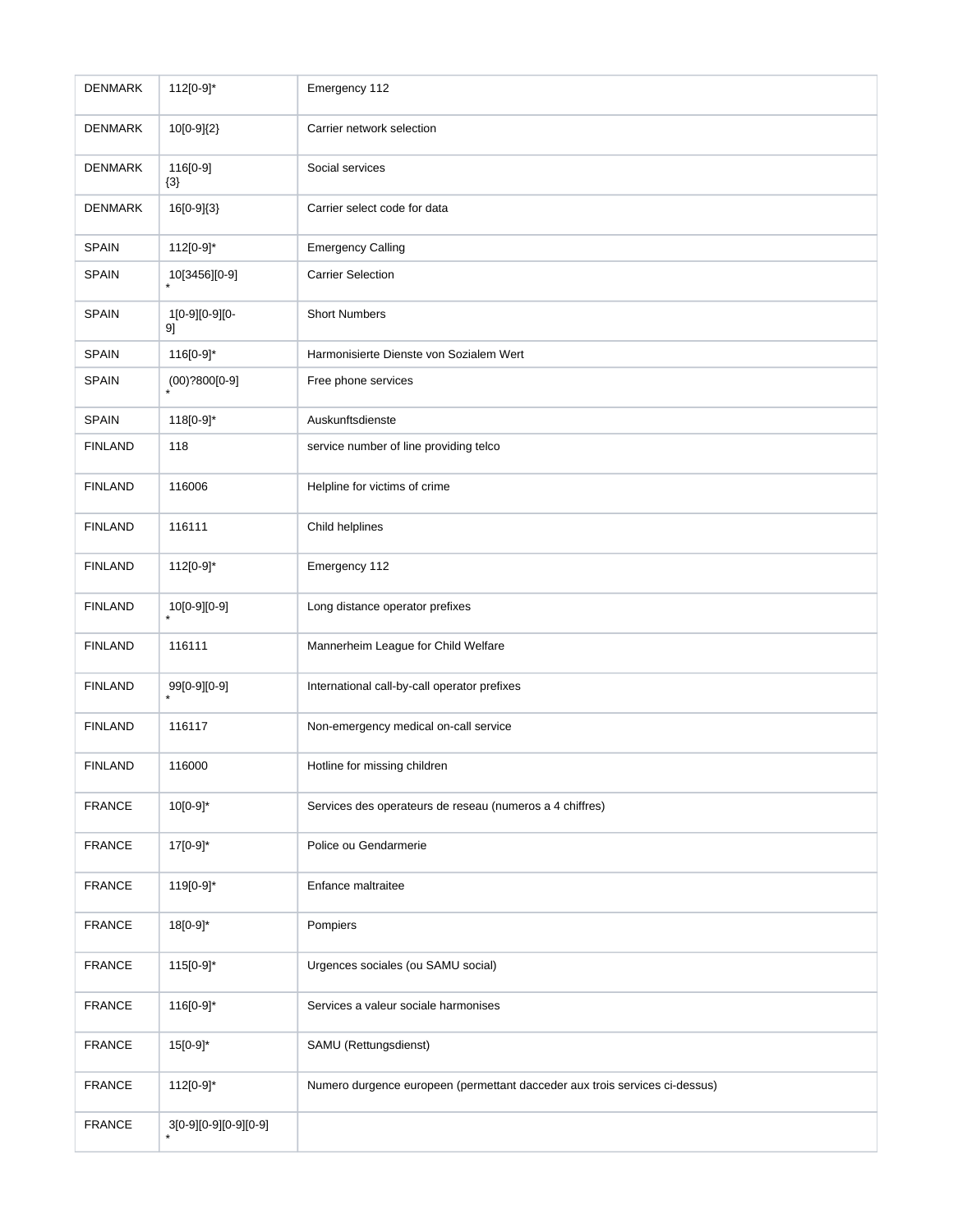| <b>DENMARK</b> | 112[0-9]*               | Emergency 112                                                               |
|----------------|-------------------------|-----------------------------------------------------------------------------|
| <b>DENMARK</b> | 10[0-9]{2}              | Carrier network selection                                                   |
| <b>DENMARK</b> | 116[0-9]<br>${3}$       | Social services                                                             |
| <b>DENMARK</b> | 16[0-9]{3}              | Carrier select code for data                                                |
| <b>SPAIN</b>   | 112[0-9]*               | <b>Emergency Calling</b>                                                    |
| SPAIN          | 10[3456][0-9]           | <b>Carrier Selection</b>                                                    |
| <b>SPAIN</b>   | 1[0-9][0-9][0-<br>91    | <b>Short Numbers</b>                                                        |
| <b>SPAIN</b>   | 116[0-9]*               | Harmonisierte Dienste von Sozialem Wert                                     |
| <b>SPAIN</b>   | $(00)$ ?800[0-9]        | Free phone services                                                         |
| <b>SPAIN</b>   | 118[0-9]*               | Auskunftsdienste                                                            |
| <b>FINLAND</b> | 118                     | service number of line providing telco                                      |
| <b>FINLAND</b> | 116006                  | Helpline for victims of crime                                               |
| <b>FINLAND</b> | 116111                  | Child helplines                                                             |
| <b>FINLAND</b> | 112[0-9]*               | Emergency 112                                                               |
| <b>FINLAND</b> | 10[0-9][0-9]            | Long distance operator prefixes                                             |
| <b>FINLAND</b> | 116111                  | Mannerheim League for Child Welfare                                         |
| <b>FINLAND</b> | 99[0-9][0-9]<br>$\star$ | International call-by-call operator prefixes                                |
| <b>FINLAND</b> | 116117                  | Non-emergency medical on-call service                                       |
| <b>FINLAND</b> | 116000                  | Hotline for missing children                                                |
| <b>FRANCE</b>  | 10[0-9]*                | Services des operateurs de reseau (numeros a 4 chiffres)                    |
| <b>FRANCE</b>  | 17[0-9]*                | Police ou Gendarmerie                                                       |
| <b>FRANCE</b>  | 119[0-9]*               | Enfance maltraitee                                                          |
| <b>FRANCE</b>  | 18[0-9]*                | Pompiers                                                                    |
| <b>FRANCE</b>  | 115[0-9]*               | Urgences sociales (ou SAMU social)                                          |
| <b>FRANCE</b>  | 116[0-9]*               | Services a valeur sociale harmonises                                        |
| <b>FRANCE</b>  | 15[0-9]*                | SAMU (Rettungsdienst)                                                       |
| <b>FRANCE</b>  | 112[0-9]*               | Numero durgence europeen (permettant dacceder aux trois services ci-dessus) |
| <b>FRANCE</b>  | $3[0-9][0-9][0-9][0-9]$ |                                                                             |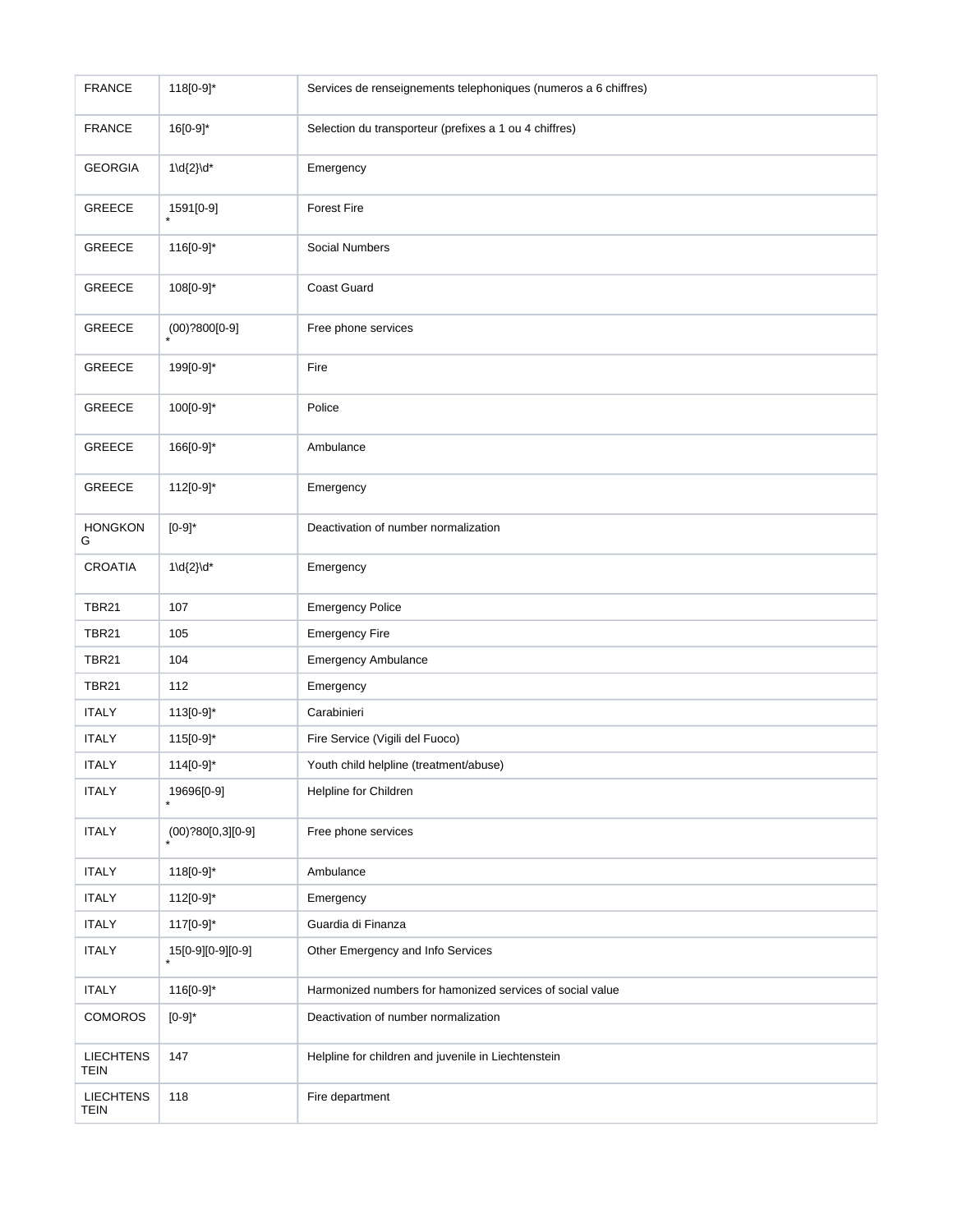| <b>FRANCE</b>                   | 118[0-9]*            | Services de renseignements telephoniques (numeros a 6 chiffres) |
|---------------------------------|----------------------|-----------------------------------------------------------------|
| <b>FRANCE</b>                   | 16[0-9]*             | Selection du transporteur (prefixes a 1 ou 4 chiffres)          |
| <b>GEORGIA</b>                  | $1\ldots\ldots$      | Emergency                                                       |
| GREECE                          | 1591[0-9]            | <b>Forest Fire</b>                                              |
| <b>GREECE</b>                   | 116[0-9]*            | Social Numbers                                                  |
| <b>GREECE</b>                   | 108[0-9]*            | Coast Guard                                                     |
| <b>GREECE</b>                   | $(00)$ ?800[0-9]     | Free phone services                                             |
| <b>GREECE</b>                   | 199[0-9]*            | Fire                                                            |
| <b>GREECE</b>                   | 100[0-9]*            | Police                                                          |
| <b>GREECE</b>                   | 166[0-9]*            | Ambulance                                                       |
| GREECE                          | 112[0-9]*            | Emergency                                                       |
| <b>HONGKON</b><br>G             | $[0-9]$ *            | Deactivation of number normalization                            |
| <b>CROATIA</b>                  | $1\ldots\ldots$      | Emergency                                                       |
| <b>TBR21</b>                    | 107                  | <b>Emergency Police</b>                                         |
| <b>TBR21</b>                    | 105                  | <b>Emergency Fire</b>                                           |
| <b>TBR21</b>                    | 104                  | Emergency Ambulance                                             |
| <b>TBR21</b>                    | 112                  | Emergency                                                       |
| <b>ITALY</b>                    | 113[0-9]*            | Carabinieri                                                     |
| <b>ITALY</b>                    | 115[0-9]*            | Fire Service (Vigili del Fuoco)                                 |
| <b>ITALY</b>                    | 114[0-9]*            | Youth child helpline (treatment/abuse)                          |
| <b>ITALY</b>                    | 19696[0-9]           | Helpline for Children                                           |
| <b>ITALY</b>                    | $(00)$ ?80[0,3][0-9] | Free phone services                                             |
| <b>ITALY</b>                    | 118[0-9]*            | Ambulance                                                       |
| <b>ITALY</b>                    | 112[0-9]*            | Emergency                                                       |
| <b>ITALY</b>                    | 117[0-9]*            | Guardia di Finanza                                              |
| <b>ITALY</b>                    | 15[0-9][0-9][0-9]    | Other Emergency and Info Services                               |
| <b>ITALY</b>                    | 116[0-9]*            | Harmonized numbers for hamonized services of social value       |
| <b>COMOROS</b>                  | $[0-9]$ *            | Deactivation of number normalization                            |
| <b>LIECHTENS</b><br><b>TEIN</b> | 147                  | Helpline for children and juvenile in Liechtenstein             |
| <b>LIECHTENS</b><br><b>TEIN</b> | 118                  | Fire department                                                 |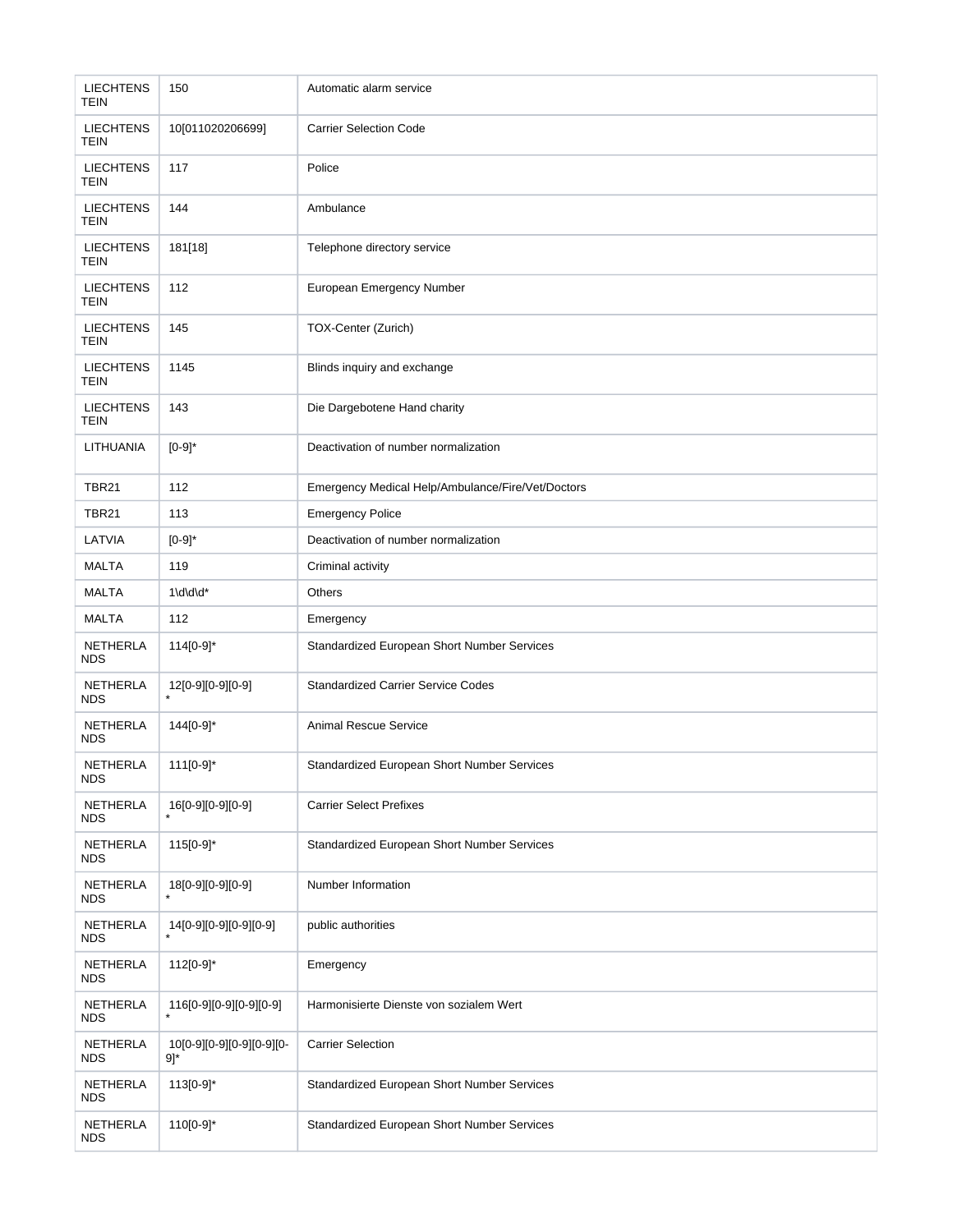| <b>LIECHTENS</b><br><b>TEIN</b> | 150                                           | Automatic alarm service                            |
|---------------------------------|-----------------------------------------------|----------------------------------------------------|
| <b>LIECHTENS</b><br>TEIN        | 10[011020206699]                              | <b>Carrier Selection Code</b>                      |
| <b>LIECHTENS</b><br><b>TEIN</b> | 117                                           | Police                                             |
| <b>LIECHTENS</b><br>TEIN        | 144                                           | Ambulance                                          |
| <b>LIECHTENS</b><br>TEIN        | 181[18]                                       | Telephone directory service                        |
| <b>LIECHTENS</b><br><b>TEIN</b> | 112                                           | European Emergency Number                          |
| <b>LIECHTENS</b><br><b>TEIN</b> | 145                                           | TOX-Center (Zurich)                                |
| <b>LIECHTENS</b><br><b>TEIN</b> | 1145                                          | Blinds inquiry and exchange                        |
| <b>LIECHTENS</b><br><b>TEIN</b> | 143                                           | Die Dargebotene Hand charity                       |
| LITHUANIA                       | $[0-9]$ *                                     | Deactivation of number normalization               |
| <b>TBR21</b>                    | 112                                           | Emergency Medical Help/Ambulance/Fire/Vet/Doctors  |
| <b>TBR21</b>                    | 113                                           | <b>Emergency Police</b>                            |
| LATVIA                          | $[0-9]$ *                                     | Deactivation of number normalization               |
| <b>MALTA</b>                    | 119                                           | Criminal activity                                  |
| <b>MALTA</b>                    | $1\ddot{\text{d}}\text{d}^*$                  | Others                                             |
| <b>MALTA</b>                    | 112                                           | Emergency                                          |
| NETHERLA<br><b>NDS</b>          | 114[0-9]*                                     | Standardized European Short Number Services        |
| NETHERLA<br><b>NDS</b>          | 12[0-9][0-9][0-9]                             | <b>Standardized Carrier Service Codes</b>          |
| NETHERLA<br><b>NDS</b>          | 144[0-9]*                                     | <b>Animal Rescue Service</b>                       |
| NETHERLA<br><b>NDS</b>          | $111[0-9]$ *                                  | <b>Standardized European Short Number Services</b> |
| NETHERLA<br><b>NDS</b>          | 16[0-9][0-9][0-9]                             | <b>Carrier Select Prefixes</b>                     |
| NETHERLA<br><b>NDS</b>          | 115[0-9]*                                     | Standardized European Short Number Services        |
| <b>NETHERLA</b><br>NDS.         | 18[0-9][0-9][0-9]                             | Number Information                                 |
| <b>NETHERLA</b><br><b>NDS</b>   | 14[0-9][0-9][0-9][0-9]                        | public authorities                                 |
| NETHERLA<br><b>NDS</b>          | $112[0-9]$ *                                  | Emergency                                          |
| <b>NETHERLA</b><br><b>NDS</b>   | 116[0-9][0-9][0-9][0-9]                       | Harmonisierte Dienste von sozialem Wert            |
| NETHERLA<br>NDS                 | 10[0-9][0-9][0-9][0-9][0-<br>$9$ <sup>*</sup> | <b>Carrier Selection</b>                           |
| NETHERLA<br><b>NDS</b>          | 113[0-9]*                                     | Standardized European Short Number Services        |
| NETHERLA<br><b>NDS</b>          | 110[0-9]*                                     | Standardized European Short Number Services        |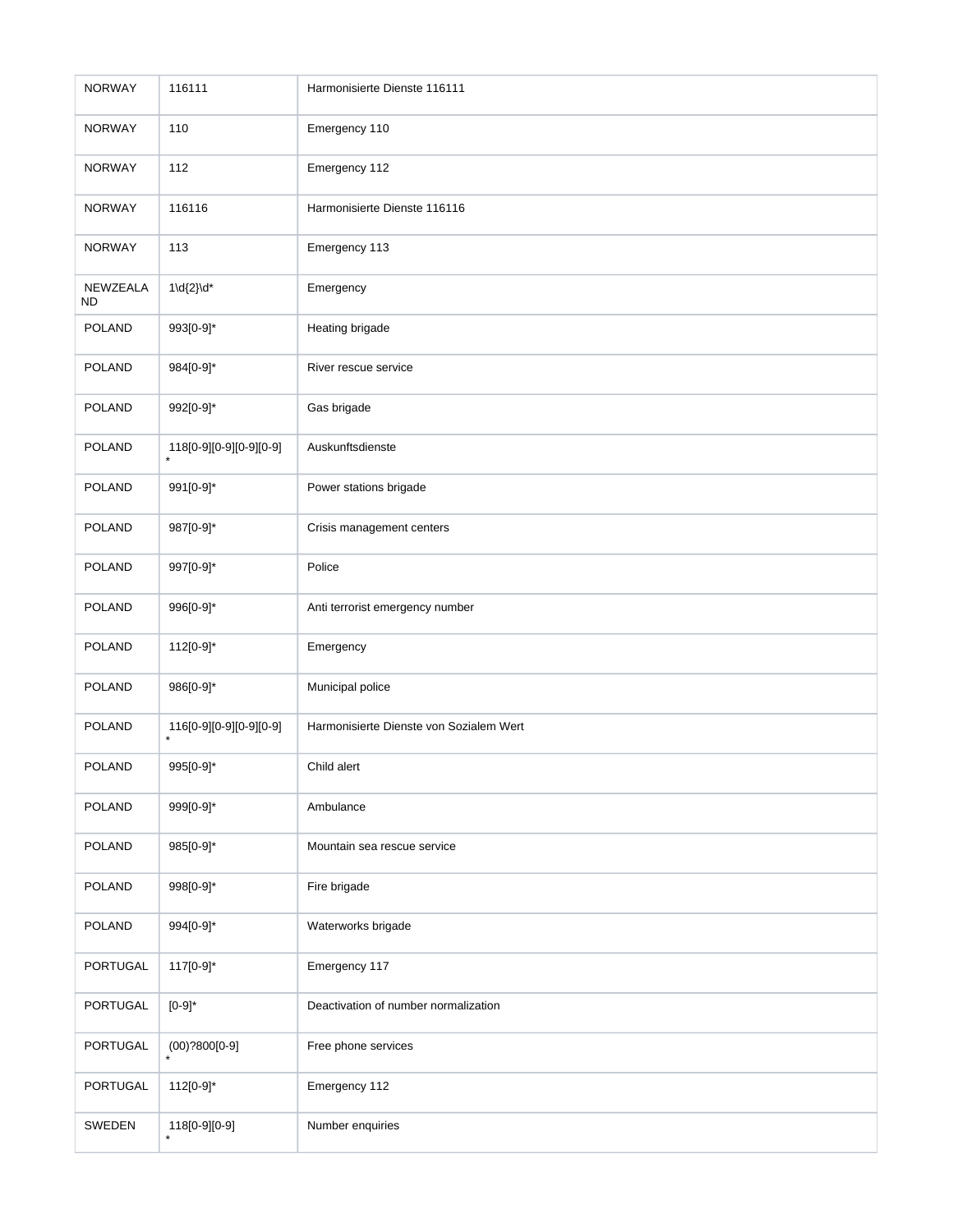| <b>NORWAY</b>         | 116111                             | Harmonisierte Dienste 116111            |
|-----------------------|------------------------------------|-----------------------------------------|
| <b>NORWAY</b>         | 110                                | Emergency 110                           |
| <b>NORWAY</b>         | 112                                | Emergency 112                           |
| <b>NORWAY</b>         | 116116                             | Harmonisierte Dienste 116116            |
| <b>NORWAY</b>         | 113                                | Emergency 113                           |
| NEWZEALA<br><b>ND</b> | $1\ldots\ldots\ldots$              | Emergency                               |
| <b>POLAND</b>         | 993[0-9]*                          | Heating brigade                         |
| <b>POLAND</b>         | 984[0-9]*                          | River rescue service                    |
| <b>POLAND</b>         | 992[0-9]*                          | Gas brigade                             |
| <b>POLAND</b>         | 118[0-9][0-9][0-9][0-9]            | Auskunftsdienste                        |
| <b>POLAND</b>         | 991[0-9]*                          | Power stations brigade                  |
| <b>POLAND</b>         | 987[0-9]*                          | Crisis management centers               |
| <b>POLAND</b>         | 997[0-9]*                          | Police                                  |
| <b>POLAND</b>         | 996[0-9]*                          | Anti terrorist emergency number         |
| <b>POLAND</b>         | 112[0-9]*                          | Emergency                               |
| <b>POLAND</b>         | 986[0-9]*                          | Municipal police                        |
| <b>POLAND</b>         | 116[0-9][0-9][0-9][0-9]<br>$\star$ | Harmonisierte Dienste von Sozialem Wert |
| <b>POLAND</b>         | 995[0-9]*                          | Child alert                             |
| <b>POLAND</b>         | 999[0-9]*                          | Ambulance                               |
| <b>POLAND</b>         | 985[0-9]*                          | Mountain sea rescue service             |
| <b>POLAND</b>         | 998[0-9]*                          | Fire brigade                            |
| <b>POLAND</b>         | 994[0-9]*                          | Waterworks brigade                      |
| <b>PORTUGAL</b>       | 117[0-9]*                          | Emergency 117                           |
| PORTUGAL              | $[0-9]$ *                          | Deactivation of number normalization    |
| PORTUGAL              | $(00)$ ?800[0-9]                   | Free phone services                     |
| PORTUGAL              | 112[0-9]*                          | Emergency 112                           |
| SWEDEN                | 118[0-9][0-9]                      | Number enquiries                        |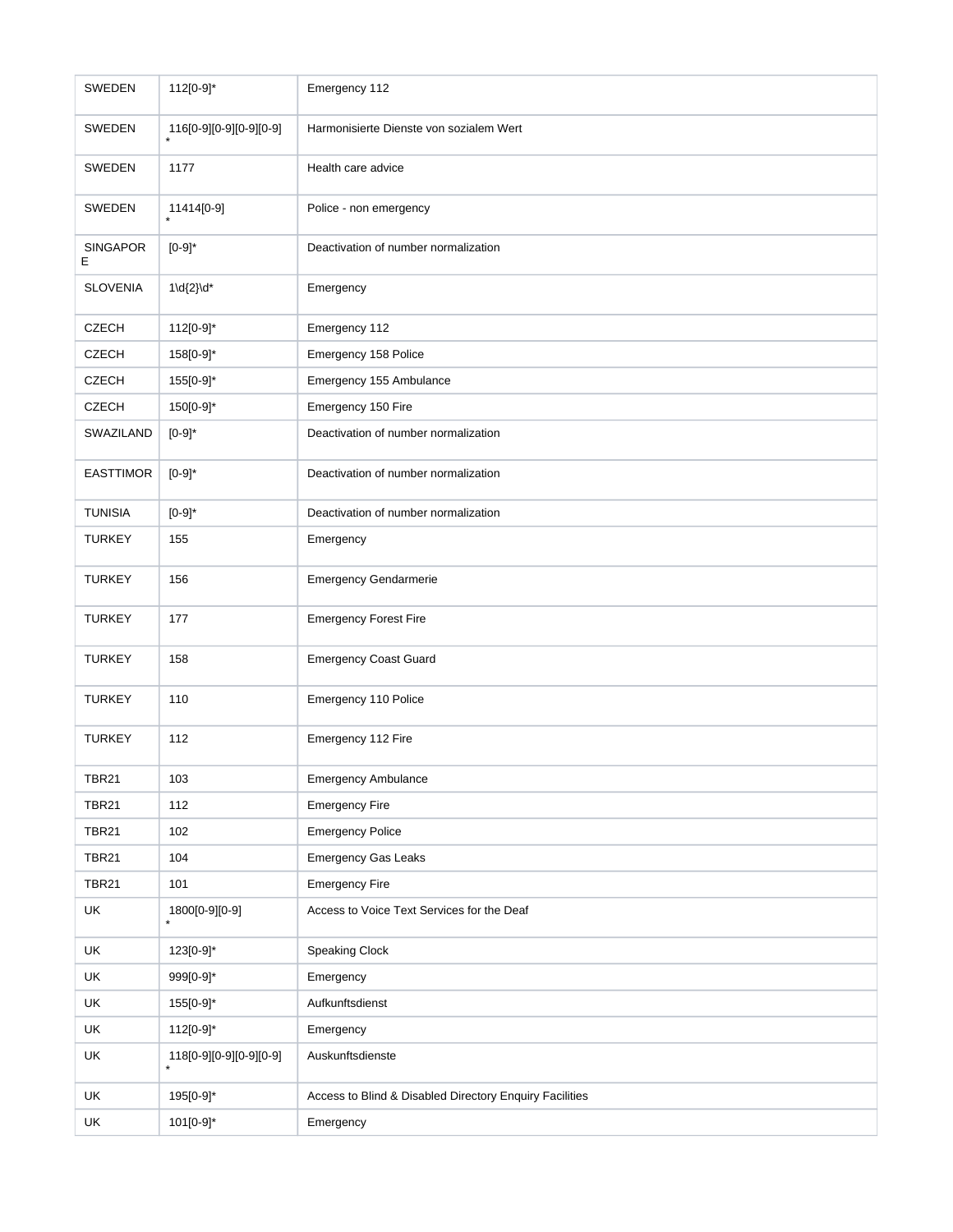| <b>SWEDEN</b>        | 112[0-9]*               | Emergency 112                                           |
|----------------------|-------------------------|---------------------------------------------------------|
| SWEDEN               | 116[0-9][0-9][0-9][0-9] | Harmonisierte Dienste von sozialem Wert                 |
| SWEDEN               | 1177                    | Health care advice                                      |
| SWEDEN               | 11414[0-9]              | Police - non emergency                                  |
| <b>SINGAPOR</b><br>Е | $[0-9]$ *               | Deactivation of number normalization                    |
| <b>SLOVENIA</b>      | $1\ldots\ldots$         | Emergency                                               |
| <b>CZECH</b>         | 112[0-9]*               | Emergency 112                                           |
| <b>CZECH</b>         | 158[0-9]*               | Emergency 158 Police                                    |
| <b>CZECH</b>         | 155[0-9]*               | Emergency 155 Ambulance                                 |
| <b>CZECH</b>         | 150[0-9]*               | Emergency 150 Fire                                      |
| SWAZILAND            | $[0-9]^{*}$             | Deactivation of number normalization                    |
| <b>EASTTIMOR</b>     | $[0-9]$ *               | Deactivation of number normalization                    |
| <b>TUNISIA</b>       | $[0-9]^{*}$             | Deactivation of number normalization                    |
| <b>TURKEY</b>        | 155                     | Emergency                                               |
| <b>TURKEY</b>        | 156                     | <b>Emergency Gendarmerie</b>                            |
| <b>TURKEY</b>        | 177                     | <b>Emergency Forest Fire</b>                            |
| <b>TURKEY</b>        | 158                     | <b>Emergency Coast Guard</b>                            |
| <b>TURKEY</b>        | 110                     | Emergency 110 Police                                    |
| <b>TURKEY</b>        | 112                     | Emergency 112 Fire                                      |
| <b>TBR21</b>         | 103                     | <b>Emergency Ambulance</b>                              |
| <b>TBR21</b>         | 112                     | <b>Emergency Fire</b>                                   |
| <b>TBR21</b>         | 102                     | <b>Emergency Police</b>                                 |
| <b>TBR21</b>         | 104                     | <b>Emergency Gas Leaks</b>                              |
| <b>TBR21</b>         | 101                     | <b>Emergency Fire</b>                                   |
| UK                   | 1800[0-9][0-9]          | Access to Voice Text Services for the Deaf              |
| UK                   | 123[0-9]*               | Speaking Clock                                          |
| UK                   | 999[0-9]*               | Emergency                                               |
| UK                   | 155[0-9]*               | Aufkunftsdienst                                         |
| UK                   | 112[0-9]*               | Emergency                                               |
| UK                   | 118[0-9][0-9][0-9][0-9] | Auskunftsdienste                                        |
| UK                   | 195[0-9]*               | Access to Blind & Disabled Directory Enquiry Facilities |
| UK                   | 101[0-9]*               | Emergency                                               |